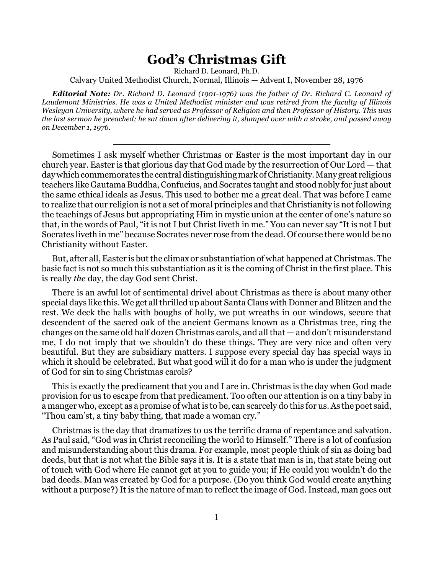## **God's Christmas Gift**

Richard D. Leonard, Ph.D.

Calvary United Methodist Church, Normal, Illinois — Advent I, November 28, 1976

*Editorial Note: Dr. Richard D. Leonard (1901-1976) was the father of Dr. Richard C. Leonard of Laudemont Ministries. He was a United Methodist minister and was retired from the faculty of Illinois Wesleyan University, where he had served as Professor of Religion and then Professor of History. This was the last sermon he preached; he sat down after delivering it, slumped over with a stroke, and passed away on December 1, 1976.*

\_\_\_\_\_\_\_\_\_\_\_\_\_\_\_\_\_\_\_\_\_\_\_\_\_\_\_\_\_\_\_\_\_\_\_\_\_\_\_

Sometimes I ask myself whether Christmas or Easter is the most important day in our church year. Easter is that glorious day that God made by the resurrection of Our Lord — that day which commemorates the central distinguishing mark of Christianity. Many great religious teachers like Gautama Buddha, Confucius, and Socrates taught and stood nobly for just about the same ethical ideals as Jesus. This used to bother me a great deal. That was before I came to realize that our religion is not a set of moral principles and that Christianity is not following the teachings of Jesus but appropriating Him in mystic union at the center of one's nature so that, in the words of Paul, "it is not I but Christ liveth in me." You can never say "It is not I but Socrates liveth in me" because Socrates never rose from the dead. Of course there would be no Christianity without Easter.

But, after all, Easter is but the climax or substantiation of what happened at Christmas. The basic fact is not so much this substantiation as it is the coming of Christ in the first place. This is really *the* day, the day God sent Christ.

There is an awful lot of sentimental drivel about Christmas as there is about many other special days like this. We get all thrilled up about Santa Claus with Donner and Blitzen and the rest. We deck the halls with boughs of holly, we put wreaths in our windows, secure that descendent of the sacred oak of the ancient Germans known as a Christmas tree, ring the changes on the same old half dozen Christmas carols, and all that — and don't misunderstand me, I do not imply that we shouldn't do these things. They are very nice and often very beautiful. But they are subsidiary matters. I suppose every special day has special ways in which it should be celebrated. But what good will it do for a man who is under the judgment of God for sin to sing Christmas carols?

This is exactly the predicament that you and I are in. Christmas is the day when God made provision for us to escape from that predicament. Too often our attention is on a tiny baby in a manger who, except as a promise of what is to be, can scarcely do this for us. As the poet said, "Thou cam'st, a tiny baby thing, that made a woman cry."

Christmas is the day that dramatizes to us the terrific drama of repentance and salvation. As Paul said, "God was in Christ reconciling the world to Himself." There is a lot of confusion and misunderstanding about this drama. For example, most people think of sin as doing bad deeds, but that is not what the Bible says it is. It is a state that man is in, that state being out of touch with God where He cannot get at you to guide you; if He could you wouldn't do the bad deeds. Man was created by God for a purpose. (Do you think God would create anything without a purpose?) It is the nature of man to reflect the image of God. Instead, man goes out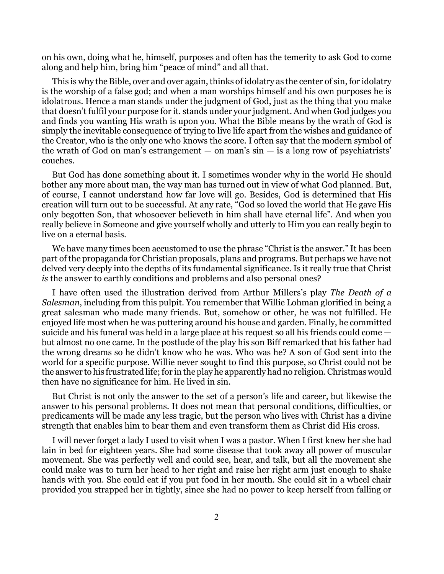on his own, doing what he, himself, purposes and often has the temerity to ask God to come along and help him, bring him "peace of mind" and all that.

This is why the Bible, over and over again, thinks of idolatry as the center of sin, for idolatry is the worship of a false god; and when a man worships himself and his own purposes he is idolatrous. Hence a man stands under the judgment of God, just as the thing that you make that doesn't fulfil your purpose for it. stands under your judgment. And when God judges you and finds you wanting His wrath is upon you. What the Bible means by the wrath of God is simply the inevitable consequence of trying to live life apart from the wishes and guidance of the Creator, who is the only one who knows the score. I often say that the modern symbol of the wrath of God on man's estrangement  $-$  on man's  $\sin$   $-$  is a long row of psychiatrists' couches.

But God has done something about it. I sometimes wonder why in the world He should bother any more about man, the way man has turned out in view of what God planned. But, of course, I cannot understand how far love will go. Besides, God is determined that His creation will turn out to be successful. At any rate, "God so loved the world that He gave His only begotten Son, that whosoever believeth in him shall have eternal life". And when you really believe in Someone and give yourself wholly and utterly to Him you can really begin to live on a eternal basis.

We have many times been accustomed to use the phrase "Christ is the answer." It has been part of the propaganda for Christian proposals, plans and programs. But perhaps we have not delved very deeply into the depths of its fundamental significance. Is it really true that Christ *is* the answer to earthly conditions and problems and also personal ones?

I have often used the illustration derived from Arthur Millers's play *The Death of a Salesman*, including from this pulpit. You remember that Willie Lohman glorified in being a great salesman who made many friends. But, somehow or other, he was not fulfilled. He enjoyed life most when he was puttering around his house and garden. Finally, he committed suicide and his funeral was held in a large place at his request so all his friends could come but almost no one came. In the postlude of the play his son Biff remarked that his father had the wrong dreams so he didn't know who he was. Who was he? A son of God sent into the world for a specific purpose. Willie never sought to find this purpose, so Christ could not be the answer to his frustrated life; for in the play he apparently had no religion. Christmas would then have no significance for him. He lived in sin.

But Christ is not only the answer to the set of a person's life and career, but likewise the answer to his personal problems. It does not mean that personal conditions, difficulties, or predicaments will be made any less tragic, but the person who lives with Christ has a divine strength that enables him to bear them and even transform them as Christ did His cross.

I will never forget a lady I used to visit when I was a pastor. When I first knew her she had lain in bed for eighteen years. She had some disease that took away all power of muscular movement. She was perfectly well and could see, hear, and talk, but all the movement she could make was to turn her head to her right and raise her right arm just enough to shake hands with you. She could eat if you put food in her mouth. She could sit in a wheel chair provided you strapped her in tightly, since she had no power to keep herself from falling or